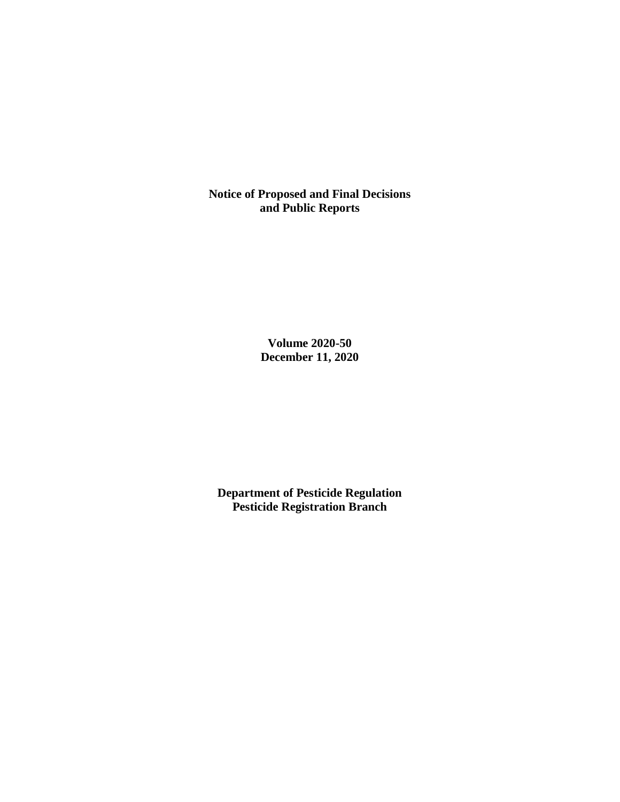**Notice of Proposed and Final Decisions and Public Reports**

> **Volume 2020-50 December 11, 2020**

**Department of Pesticide Regulation Pesticide Registration Branch**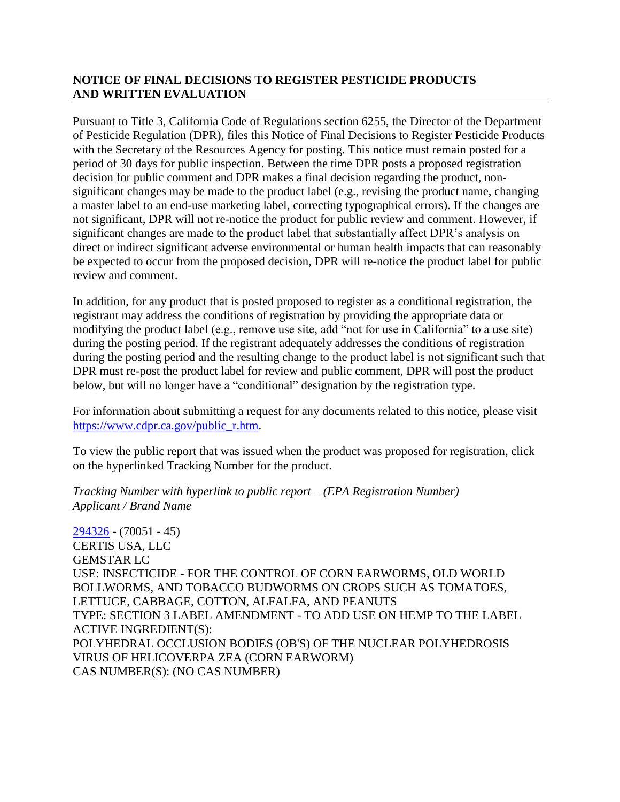# **NOTICE OF FINAL DECISIONS TO REGISTER PESTICIDE PRODUCTS AND WRITTEN EVALUATION**

Pursuant to Title 3, California Code of Regulations section 6255, the Director of the Department of Pesticide Regulation (DPR), files this Notice of Final Decisions to Register Pesticide Products with the Secretary of the Resources Agency for posting. This notice must remain posted for a period of 30 days for public inspection. Between the time DPR posts a proposed registration decision for public comment and DPR makes a final decision regarding the product, nonsignificant changes may be made to the product label (e.g., revising the product name, changing a master label to an end-use marketing label, correcting typographical errors). If the changes are not significant, DPR will not re-notice the product for public review and comment. However, if significant changes are made to the product label that substantially affect DPR's analysis on direct or indirect significant adverse environmental or human health impacts that can reasonably be expected to occur from the proposed decision, DPR will re-notice the product label for public review and comment.

In addition, for any product that is posted proposed to register as a conditional registration, the registrant may address the conditions of registration by providing the appropriate data or modifying the product label (e.g., remove use site, add "not for use in California" to a use site) during the posting period. If the registrant adequately addresses the conditions of registration during the posting period and the resulting change to the product label is not significant such that DPR must re-post the product label for review and public comment, DPR will post the product below, but will no longer have a "conditional" designation by the registration type.

For information about submitting a request for any documents related to this notice, please visit [https://www.cdpr.ca.gov/public\\_r.htm.](https://www.cdpr.ca.gov/public_r.htm)

To view the public report that was issued when the product was proposed for registration, click on the hyperlinked Tracking Number for the product.

### *Tracking Number with hyperlink to public report – (EPA Registration Number) Applicant / Brand Name*

[294326](https://www.cdpr.ca.gov/docs/registration/nod/public_reports/294326.pdf) - (70051 - 45) CERTIS USA, LLC GEMSTAR LC USE: INSECTICIDE - FOR THE CONTROL OF CORN EARWORMS, OLD WORLD BOLLWORMS, AND TOBACCO BUDWORMS ON CROPS SUCH AS TOMATOES, LETTUCE, CABBAGE, COTTON, ALFALFA, AND PEANUTS TYPE: SECTION 3 LABEL AMENDMENT - TO ADD USE ON HEMP TO THE LABEL ACTIVE INGREDIENT(S): POLYHEDRAL OCCLUSION BODIES (OB'S) OF THE NUCLEAR POLYHEDROSIS VIRUS OF HELICOVERPA ZEA (CORN EARWORM) CAS NUMBER(S): (NO CAS NUMBER)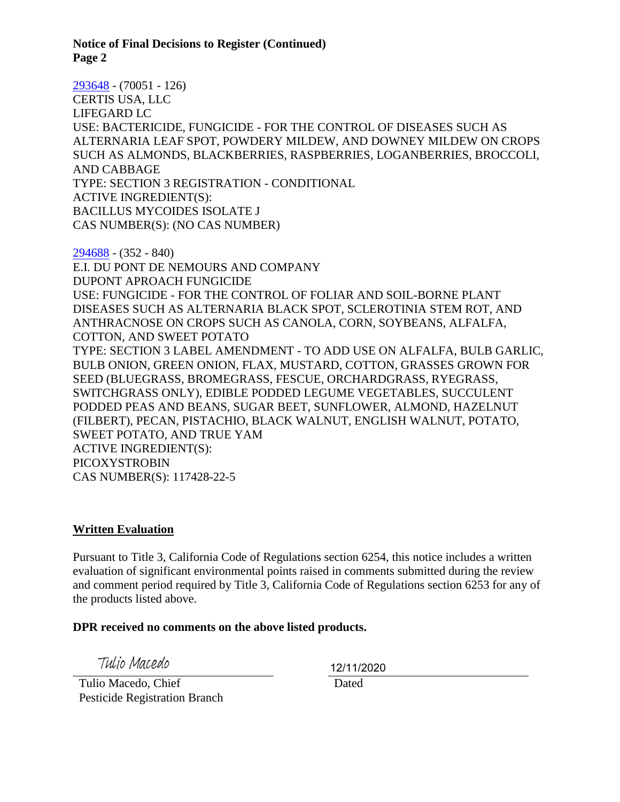**Notice of Final Decisions to Register (Continued) Page 2**

[293648](https://www.cdpr.ca.gov/docs/registration/nod/public_reports/293648.pdf) - (70051 - 126) CERTIS USA, LLC LIFEGARD LC USE: BACTERICIDE, FUNGICIDE - FOR THE CONTROL OF DISEASES SUCH AS ALTERNARIA LEAF SPOT, POWDERY MILDEW, AND DOWNEY MILDEW ON CROPS SUCH AS ALMONDS, BLACKBERRIES, RASPBERRIES, LOGANBERRIES, BROCCOLI, AND CABBAGE TYPE: SECTION 3 REGISTRATION - CONDITIONAL ACTIVE INGREDIENT(S): BACILLUS MYCOIDES ISOLATE J CAS NUMBER(S): (NO CAS NUMBER)

[294688](https://www.cdpr.ca.gov/docs/registration/nod/public_reports/294688.pdf) - (352 - 840) E.I. DU PONT DE NEMOURS AND COMPANY DUPONT APROACH FUNGICIDE USE: FUNGICIDE - FOR THE CONTROL OF FOLIAR AND SOIL-BORNE PLANT DISEASES SUCH AS ALTERNARIA BLACK SPOT, SCLEROTINIA STEM ROT, AND ANTHRACNOSE ON CROPS SUCH AS CANOLA, CORN, SOYBEANS, ALFALFA, COTTON, AND SWEET POTATO TYPE: SECTION 3 LABEL AMENDMENT - TO ADD USE ON ALFALFA, BULB GARLIC, BULB ONION, GREEN ONION, FLAX, MUSTARD, COTTON, GRASSES GROWN FOR SEED (BLUEGRASS, BROMEGRASS, FESCUE, ORCHARDGRASS, RYEGRASS, SWITCHGRASS ONLY), EDIBLE PODDED LEGUME VEGETABLES, SUCCULENT PODDED PEAS AND BEANS, SUGAR BEET, SUNFLOWER, ALMOND, HAZELNUT (FILBERT), PECAN, PISTACHIO, BLACK WALNUT, ENGLISH WALNUT, POTATO, SWEET POTATO, AND TRUE YAM ACTIVE INGREDIENT(S): PICOXYSTROBIN CAS NUMBER(S): 117428-22-5

#### **Written Evaluation**

Pursuant to Title 3, California Code of Regulations section 6254, this notice includes a written evaluation of significant environmental points raised in comments submitted during the review and comment period required by Title 3, California Code of Regulations section 6253 for any of the products listed above.

#### **DPR received no comments on the above listed products.**

Tulio Macedo

 Tulio Macedo, Chief Pesticide Registration Branch 12/11/2020

Dated